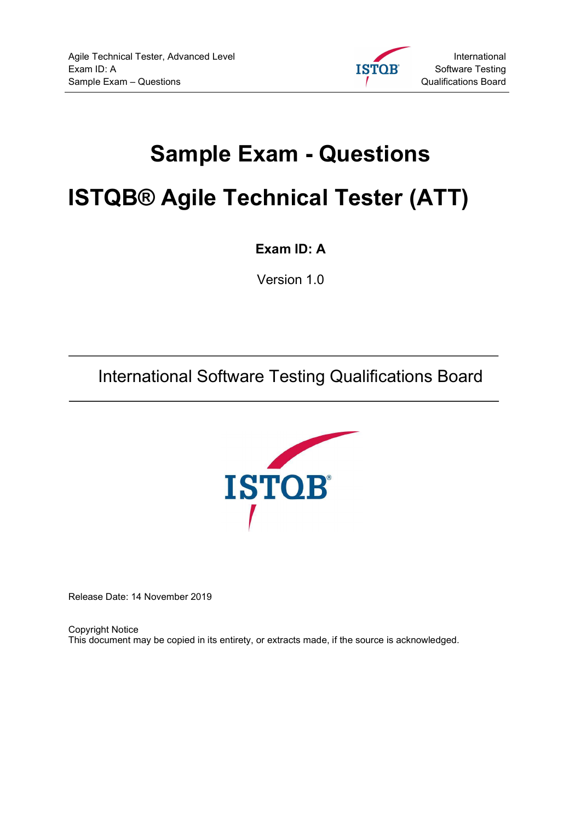

# Sample Exam - Questions

# ISTQB® Agile Technical Tester (ATT)

Exam ID: A

Version 1.0

International Software Testing Qualifications Board



Release Date: 14 November 2019

Copyright Notice This document may be copied in its entirety, or extracts made, if the source is acknowledged.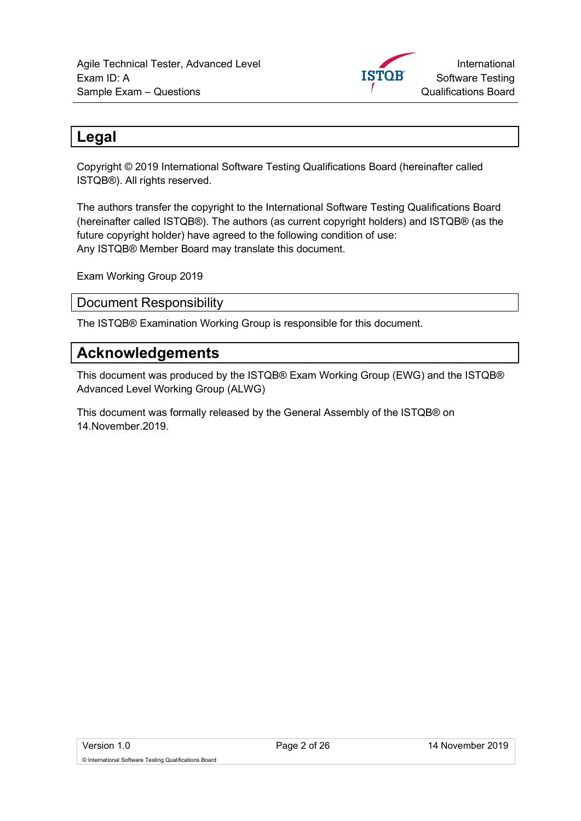

# Legal

Copyright © 2019 International Software Testing Qualifications Board (hereinafter called ISTQB®). All rights reserved.

The authors transfer the copyright to the International Software Testing Qualifications Board (hereinafter called ISTQB®). The authors (as current copyright holders) and ISTQB® (as the future copyright holder) have agreed to the following condition of use: Any ISTQB® Member Board may translate this document.

Exam Working Group 2019

Document Responsibility

The ISTQB® Examination Working Group is responsible for this document.

#### Acknowledgements

This document was produced by the ISTQB® Exam Working Group (EWG) and the ISTQB® Advanced Level Working Group (ALWG)

This document was formally released by the General Assembly of the ISTQB® on 14.November.2019.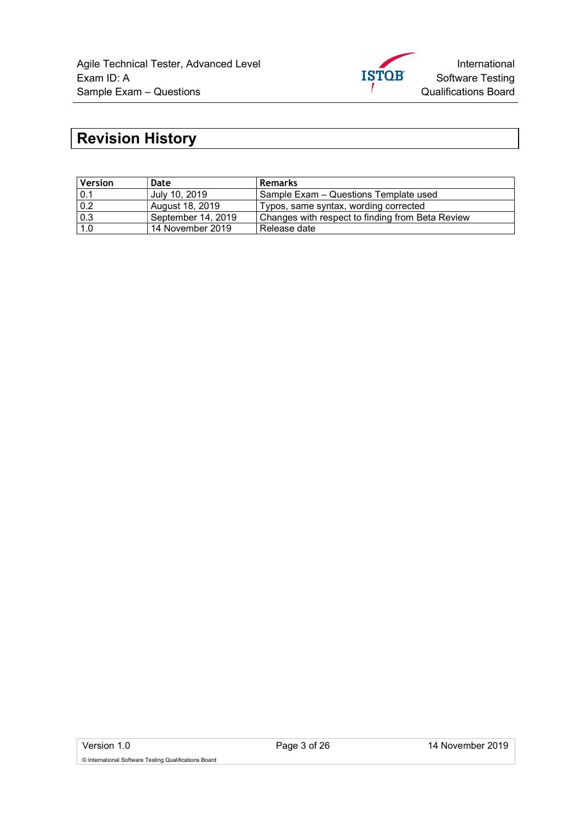

# Revision History

| <b>Version</b> | Date               | <b>Remarks</b>                                   |
|----------------|--------------------|--------------------------------------------------|
| 0.1            | July 10, 2019      | Sample Exam - Questions Template used            |
| 0.2            | August 18, 2019    | Typos, same syntax, wording corrected            |
| 0.3            | September 14, 2019 | Changes with respect to finding from Beta Review |
| 1.0            | 14 November 2019   | Release date                                     |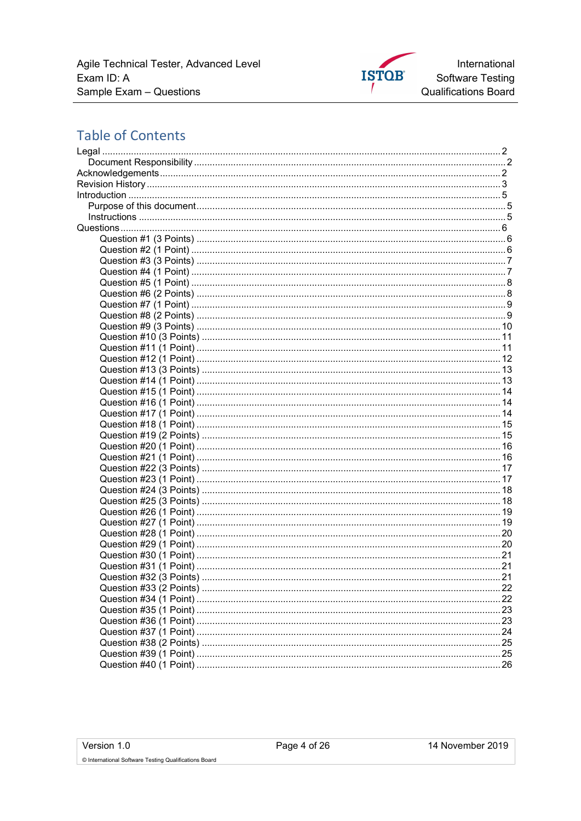Agile Technical Tester, Advanced Level Exam ID: A Sample Exam - Questions



# **Table of Contents**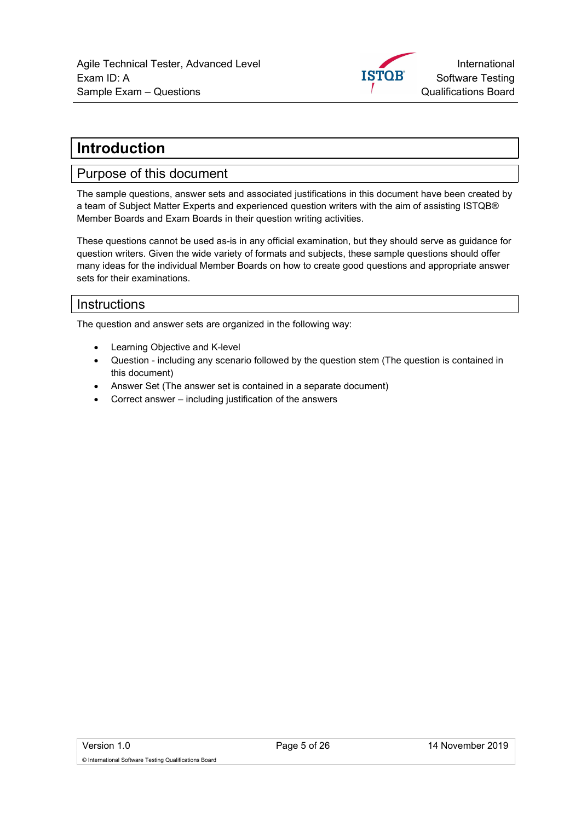

# Introduction

#### Purpose of this document

The sample questions, answer sets and associated justifications in this document have been created by a team of Subject Matter Experts and experienced question writers with the aim of assisting ISTQB® Member Boards and Exam Boards in their question writing activities.

These questions cannot be used as-is in any official examination, but they should serve as guidance for question writers. Given the wide variety of formats and subjects, these sample questions should offer many ideas for the individual Member Boards on how to create good questions and appropriate answer sets for their examinations.

#### **Instructions**

The question and answer sets are organized in the following way:

- Learning Objective and K-level
- Question including any scenario followed by the question stem (The question is contained in this document)
- Answer Set (The answer set is contained in a separate document)
- Correct answer including justification of the answers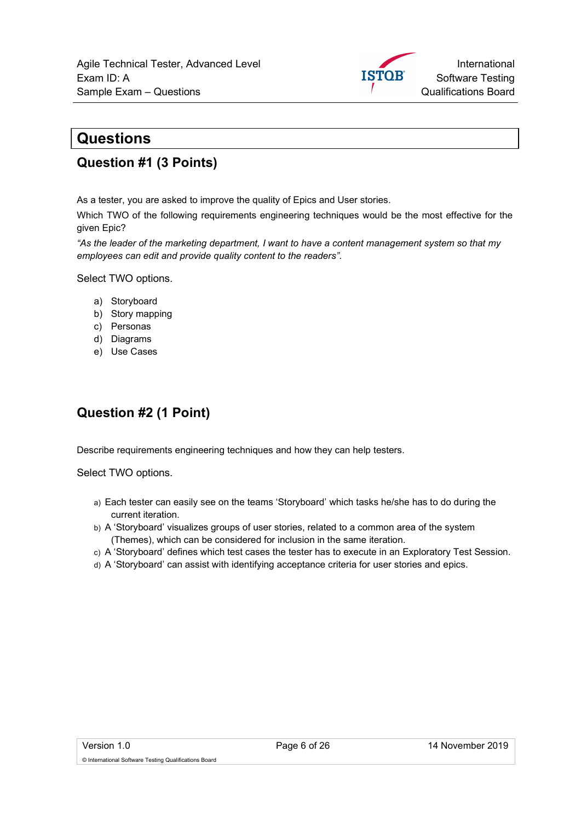

#### **Questions**

#### Question #1 (3 Points)

As a tester, you are asked to improve the quality of Epics and User stories.

Which TWO of the following requirements engineering techniques would be the most effective for the given Epic?

"As the leader of the marketing department, I want to have a content management system so that my employees can edit and provide quality content to the readers".

Select TWO options.

- a) Storyboard
- b) Story mapping
- c) Personas
- d) Diagrams
- e) Use Cases

# Question #2 (1 Point)

Describe requirements engineering techniques and how they can help testers.

Select TWO options.

- a) Each tester can easily see on the teams 'Storyboard' which tasks he/she has to do during the current iteration.
- b) A 'Storyboard' visualizes groups of user stories, related to a common area of the system (Themes), which can be considered for inclusion in the same iteration.
- c) A 'Storyboard' defines which test cases the tester has to execute in an Exploratory Test Session.
- d) A 'Storyboard' can assist with identifying acceptance criteria for user stories and epics.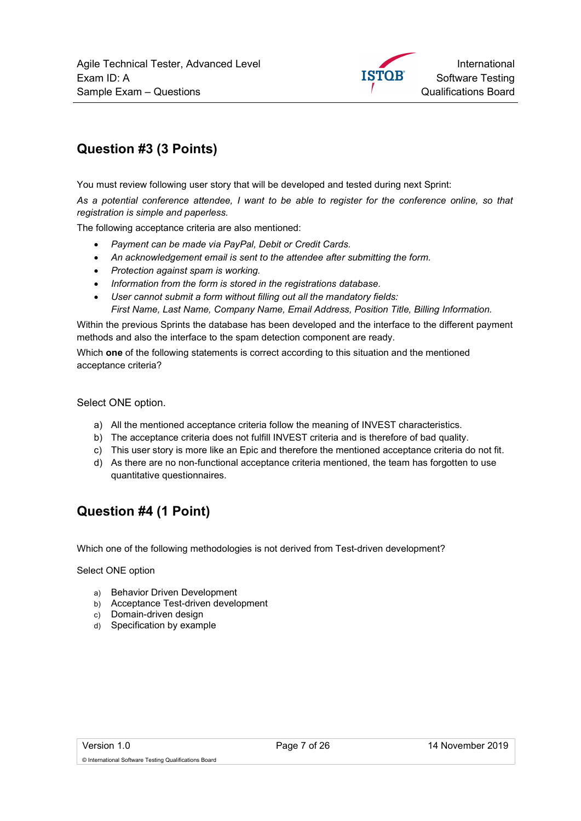

# Question #3 (3 Points)

You must review following user story that will be developed and tested during next Sprint:

As a potential conference attendee, I want to be able to register for the conference online, so that registration is simple and paperless.

The following acceptance criteria are also mentioned:

- Payment can be made via PayPal, Debit or Credit Cards.
- An acknowledgement email is sent to the attendee after submitting the form.
- Protection against spam is working.
- Information from the form is stored in the registrations database.
- User cannot submit a form without filling out all the mandatory fields:

First Name, Last Name, Company Name, Email Address, Position Title, Billing Information.

Within the previous Sprints the database has been developed and the interface to the different payment methods and also the interface to the spam detection component are ready.

Which **one** of the following statements is correct according to this situation and the mentioned acceptance criteria?

Select ONE option.

- a) All the mentioned acceptance criteria follow the meaning of INVEST characteristics.
- b) The acceptance criteria does not fulfill INVEST criteria and is therefore of bad quality.
- c) This user story is more like an Epic and therefore the mentioned acceptance criteria do not fit.
- d) As there are no non-functional acceptance criteria mentioned, the team has forgotten to use quantitative questionnaires.

#### Question #4 (1 Point)

Which one of the following methodologies is not derived from Test-driven development?

- a) Behavior Driven Development
- b) Acceptance Test-driven development
- c) Domain-driven design
- d) Specification by example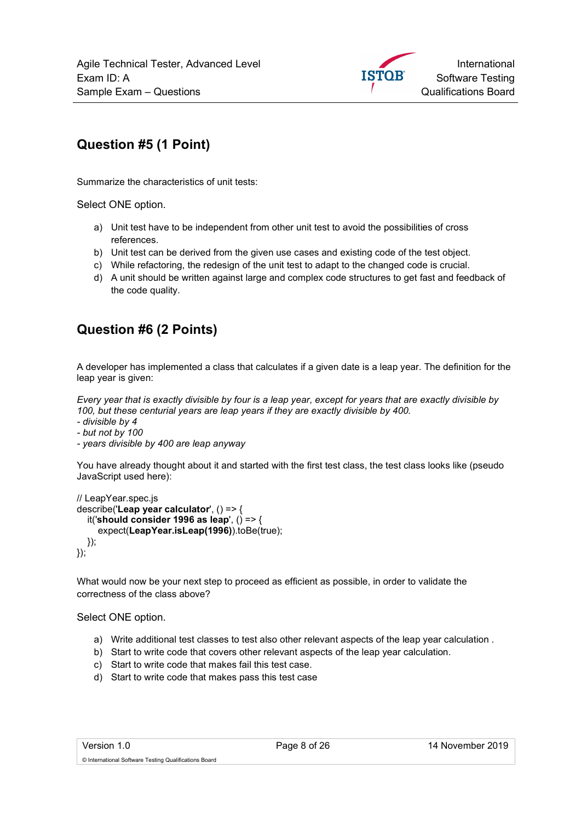

# Question #5 (1 Point)

Summarize the characteristics of unit tests:

Select ONE option.

- a) Unit test have to be independent from other unit test to avoid the possibilities of cross references.
- b) Unit test can be derived from the given use cases and existing code of the test object.
- c) While refactoring, the redesign of the unit test to adapt to the changed code is crucial.
- d) A unit should be written against large and complex code structures to get fast and feedback of the code quality.

# Question #6 (2 Points)

A developer has implemented a class that calculates if a given date is a leap year. The definition for the leap year is given:

Every year that is exactly divisible by four is a leap year, except for years that are exactly divisible by 100, but these centurial years are leap years if they are exactly divisible by 400.

- divisible by 4

- but not by 100

- years divisible by 400 are leap anyway

You have already thought about it and started with the first test class, the test class looks like (pseudo JavaScript used here):

```
// LeapYear.spec.js 
describe('Leap year calculator', () => { 
  it('should consider 1996 as leap', () => {
      expect(LeapYear.isLeap(1996)).toBe(true); 
   }); 
});
```
What would now be your next step to proceed as efficient as possible, in order to validate the correctness of the class above?

Select ONE option.

- a) Write additional test classes to test also other relevant aspects of the leap year calculation .
- b) Start to write code that covers other relevant aspects of the leap year calculation.
- c) Start to write code that makes fail this test case.
- d) Start to write code that makes pass this test case

© International Software Testing Qualifications Board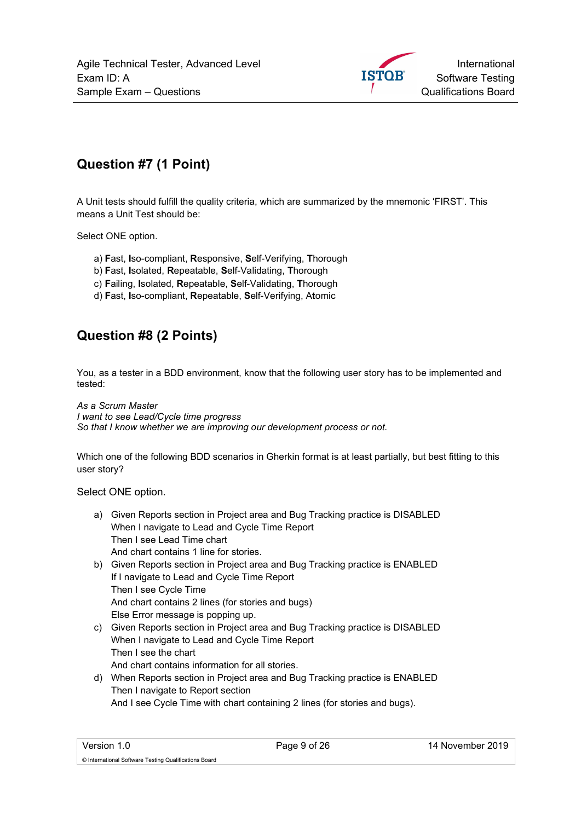

## Question #7 (1 Point)

A Unit tests should fulfill the quality criteria, which are summarized by the mnemonic 'FIRST'. This means a Unit Test should be:

Select ONE option.

- a) Fast, Iso-compliant, Responsive, Self-Verifying, Thorough
- b) Fast, Isolated, Repeatable, Self-Validating, Thorough
- c) Failing, Isolated, Repeatable, Self-Validating, Thorough
- d) Fast, Iso-compliant, Repeatable, Self-Verifying, Atomic

#### Question #8 (2 Points)

You, as a tester in a BDD environment, know that the following user story has to be implemented and tested:

As a Scrum Master I want to see Lead/Cycle time progress So that I know whether we are improving our development process or not.

Which one of the following BDD scenarios in Gherkin format is at least partially, but best fitting to this user story?

- a) Given Reports section in Project area and Bug Tracking practice is DISABLED When I navigate to Lead and Cycle Time Report Then I see Lead Time chart And chart contains 1 line for stories.
- b) Given Reports section in Project area and Bug Tracking practice is ENABLED If I navigate to Lead and Cycle Time Report Then I see Cycle Time And chart contains 2 lines (for stories and bugs) Else Error message is popping up.
- c) Given Reports section in Project area and Bug Tracking practice is DISABLED When I navigate to Lead and Cycle Time Report Then I see the chart And chart contains information for all stories.
- d) When Reports section in Project area and Bug Tracking practice is ENABLED Then I navigate to Report section And I see Cycle Time with chart containing 2 lines (for stories and bugs).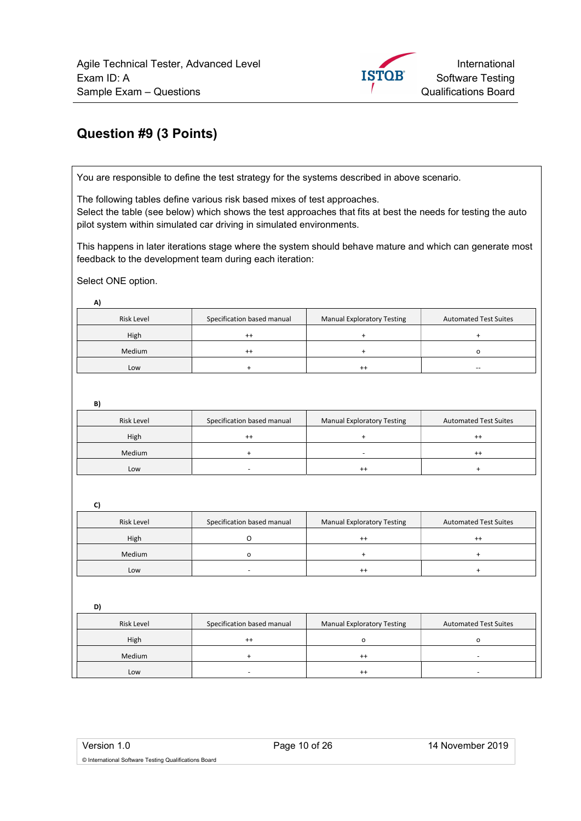

#### Question #9 (3 Points)

You are responsible to define the test strategy for the systems described in above scenario.

The following tables define various risk based mixes of test approaches. Select the table (see below) which shows the test approaches that fits at best the needs for testing the auto pilot system within simulated car driving in simulated environments.

This happens in later iterations stage where the system should behave mature and which can generate most feedback to the development team during each iteration:

Select ONE option.

A)

| <b>Risk Level</b> | Specification based manual | <b>Manual Exploratory Testing</b> | <b>Automated Test Suites</b> |
|-------------------|----------------------------|-----------------------------------|------------------------------|
| High              | $^{\mathrm{+}}$            |                                   |                              |
| Medium            | $^{++}$                    |                                   |                              |
| Low               |                            | $^{++}$                           | $-$                          |

B)

| - -               |                            |                            |                              |
|-------------------|----------------------------|----------------------------|------------------------------|
| <b>Risk Level</b> | Specification based manual | Manual Exploratory Testing | <b>Automated Test Suites</b> |
| High              | $^{++}$                    |                            | $^{++}$                      |
| Medium            |                            |                            | $^{++}$                      |
| Low               |                            | $^{++}$                    |                              |

 $\mathcal{C}$ 

| .,                |                            |                                   |                              |
|-------------------|----------------------------|-----------------------------------|------------------------------|
| <b>Risk Level</b> | Specification based manual | <b>Manual Exploratory Testing</b> | <b>Automated Test Suites</b> |
| High              |                            | $^{++}$                           |                              |
| Medium            |                            |                                   |                              |
| Low               |                            | $^{++}$                           |                              |

D)

| Risk Level | Specification based manual | <b>Manual Exploratory Testing</b> | <b>Automated Test Suites</b> |
|------------|----------------------------|-----------------------------------|------------------------------|
| High       | $^{++}$                    |                                   |                              |
| Medium     |                            | $^{++}$                           |                              |
| Low        |                            | $^{++}$                           |                              |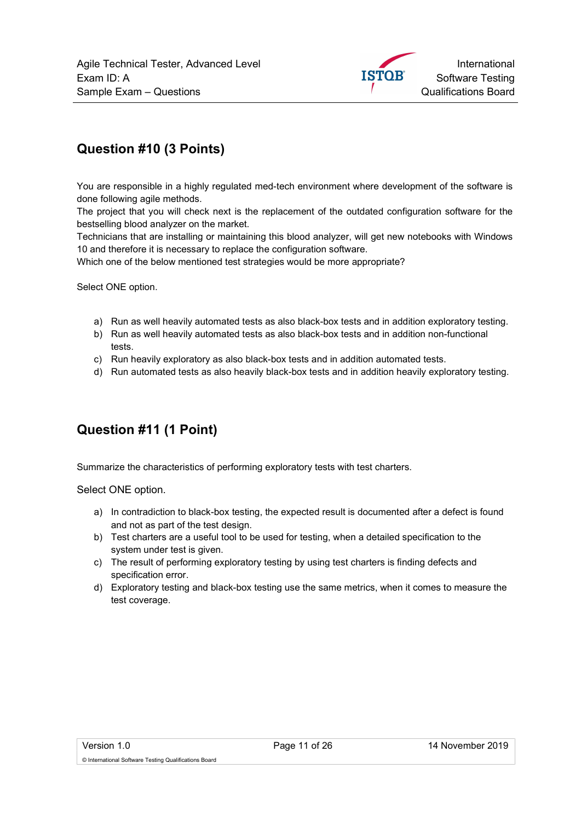

## Question #10 (3 Points)

You are responsible in a highly regulated med-tech environment where development of the software is done following agile methods.

The project that you will check next is the replacement of the outdated configuration software for the bestselling blood analyzer on the market.

Technicians that are installing or maintaining this blood analyzer, will get new notebooks with Windows 10 and therefore it is necessary to replace the configuration software.

Which one of the below mentioned test strategies would be more appropriate?

Select ONE option.

- a) Run as well heavily automated tests as also black-box tests and in addition exploratory testing.
- b) Run as well heavily automated tests as also black-box tests and in addition non-functional tests.
- c) Run heavily exploratory as also black-box tests and in addition automated tests.
- d) Run automated tests as also heavily black-box tests and in addition heavily exploratory testing.

#### Question #11 (1 Point)

Summarize the characteristics of performing exploratory tests with test charters.

- a) In contradiction to black-box testing, the expected result is documented after a defect is found and not as part of the test design.
- b) Test charters are a useful tool to be used for testing, when a detailed specification to the system under test is given.
- c) The result of performing exploratory testing by using test charters is finding defects and specification error.
- d) Exploratory testing and black-box testing use the same metrics, when it comes to measure the test coverage.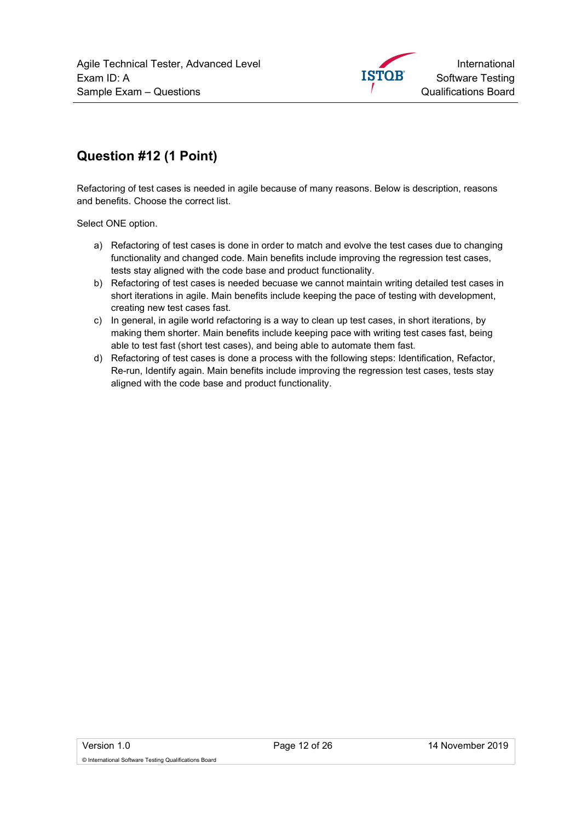

# Question #12 (1 Point)

Refactoring of test cases is needed in agile because of many reasons. Below is description, reasons and benefits. Choose the correct list.

- a) Refactoring of test cases is done in order to match and evolve the test cases due to changing functionality and changed code. Main benefits include improving the regression test cases, tests stay aligned with the code base and product functionality.
- b) Refactoring of test cases is needed becuase we cannot maintain writing detailed test cases in short iterations in agile. Main benefits include keeping the pace of testing with development, creating new test cases fast.
- c) In general, in agile world refactoring is a way to clean up test cases, in short iterations, by making them shorter. Main benefits include keeping pace with writing test cases fast, being able to test fast (short test cases), and being able to automate them fast.
- d) Refactoring of test cases is done a process with the following steps: Identification, Refactor, Re-run, Identify again. Main benefits include improving the regression test cases, tests stay aligned with the code base and product functionality.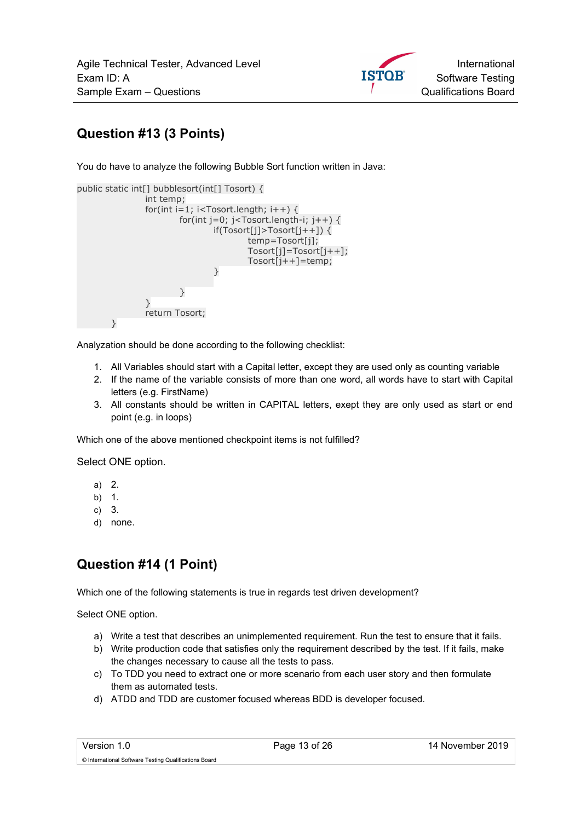

# Question #13 (3 Points)

You do have to analyze the following Bubble Sort function written in Java:

| public static int[] bubblesort(int[] Tosort) {<br>int temp;              |
|--------------------------------------------------------------------------|
| for(int i=1; i <tosort.length; i++)="" td="" {<=""></tosort.length;>     |
| for(int j=0; j <tosort.length-i; j++)="" td="" {<=""></tosort.length-i;> |
| $if(Tosort[i]>Tosort[i++])$ {                                            |
| $temp = Tosort[i];$                                                      |
| $Tosort[j] = Tosort[j++];$                                               |
| $Tosort[j++]=temp;$                                                      |
|                                                                          |
|                                                                          |
| ļ                                                                        |
|                                                                          |
| return Tosort;                                                           |
|                                                                          |

Analyzation should be done according to the following checklist:

- 1. All Variables should start with a Capital letter, except they are used only as counting variable
- 2. If the name of the variable consists of more than one word, all words have to start with Capital letters (e.g. FirstName)
- 3. All constants should be written in CAPITAL letters, exept they are only used as start or end point (e.g. in loops)

Which one of the above mentioned checkpoint items is not fulfilled?

Select ONE option.

- a) 2.
- b) 1.
- c) 3.
- d) none.

#### Question #14 (1 Point)

Which one of the following statements is true in regards test driven development?

Select ONE option.

- a) Write a test that describes an unimplemented requirement. Run the test to ensure that it fails.
- b) Write production code that satisfies only the requirement described by the test. If it fails, make the changes necessary to cause all the tests to pass.
- c) To TDD you need to extract one or more scenario from each user story and then formulate them as automated tests.
- d) ATDD and TDD are customer focused whereas BDD is developer focused.

© International Software Testing Qualifications Board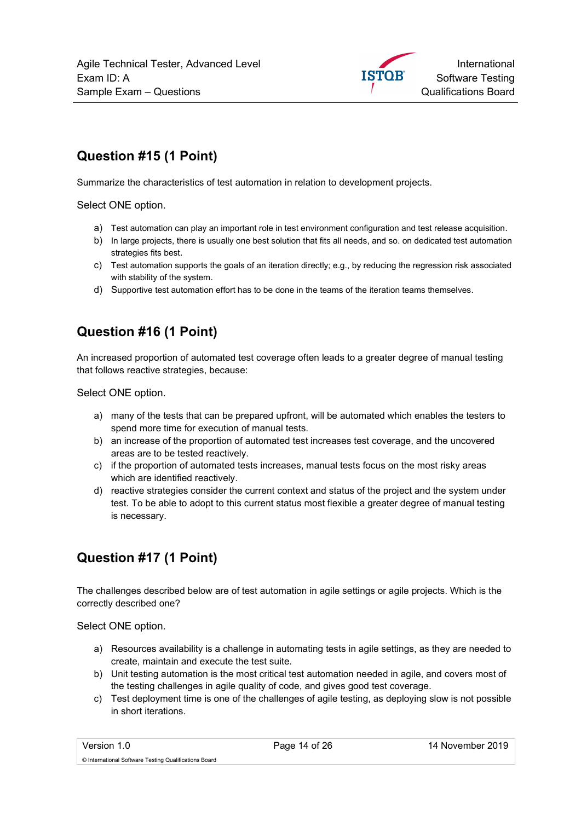

# Question #15 (1 Point)

Summarize the characteristics of test automation in relation to development projects.

Select ONE option.

- a) Test automation can play an important role in test environment configuration and test release acquisition.
- b) In large projects, there is usually one best solution that fits all needs, and so. on dedicated test automation strategies fits best.
- c) Test automation supports the goals of an iteration directly; e.g., by reducing the regression risk associated with stability of the system.
- d) Supportive test automation effort has to be done in the teams of the iteration teams themselves.

#### Question #16 (1 Point)

An increased proportion of automated test coverage often leads to a greater degree of manual testing that follows reactive strategies, because:

Select ONE option.

- a) many of the tests that can be prepared upfront, will be automated which enables the testers to spend more time for execution of manual tests.
- b) an increase of the proportion of automated test increases test coverage, and the uncovered areas are to be tested reactively.
- c) if the proportion of automated tests increases, manual tests focus on the most risky areas which are identified reactively.
- d) reactive strategies consider the current context and status of the project and the system under test. To be able to adopt to this current status most flexible a greater degree of manual testing is necessary.

# Question #17 (1 Point)

The challenges described below are of test automation in agile settings or agile projects. Which is the correctly described one?

- a) Resources availability is a challenge in automating tests in agile settings, as they are needed to create, maintain and execute the test suite.
- b) Unit testing automation is the most critical test automation needed in agile, and covers most of the testing challenges in agile quality of code, and gives good test coverage.
- c) Test deployment time is one of the challenges of agile testing, as deploying slow is not possible in short iterations.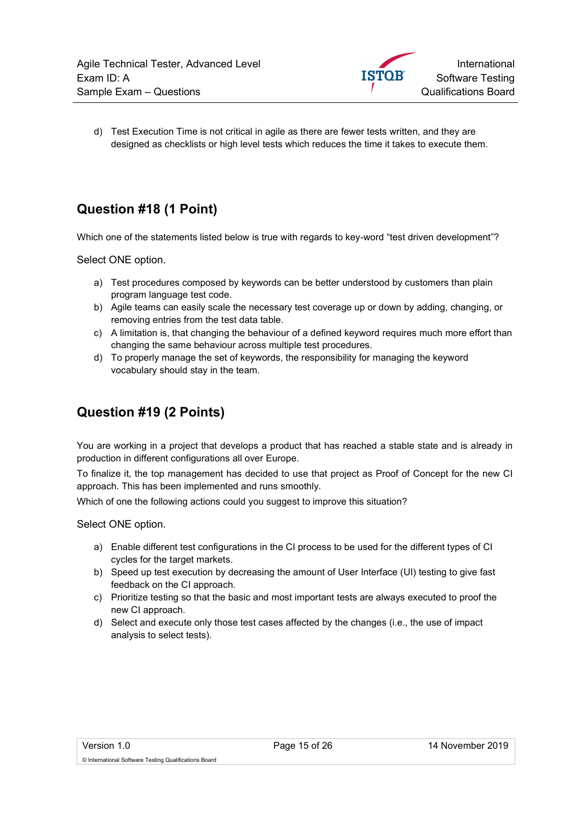

d) Test Execution Time is not critical in agile as there are fewer tests written, and they are designed as checklists or high level tests which reduces the time it takes to execute them.

# Question #18 (1 Point)

Which one of the statements listed below is true with regards to key-word "test driven development"?

Select ONE option.

- a) Test procedures composed by keywords can be better understood by customers than plain program language test code.
- b) Agile teams can easily scale the necessary test coverage up or down by adding, changing, or removing entries from the test data table.
- c) A limitation is, that changing the behaviour of a defined keyword requires much more effort than changing the same behaviour across multiple test procedures.
- d) To properly manage the set of keywords, the responsibility for managing the keyword vocabulary should stay in the team.

# Question #19 (2 Points)

You are working in a project that develops a product that has reached a stable state and is already in production in different configurations all over Europe.

To finalize it, the top management has decided to use that project as Proof of Concept for the new CI approach. This has been implemented and runs smoothly.

Which of one the following actions could you suggest to improve this situation?

- a) Enable different test configurations in the CI process to be used for the different types of CI cycles for the target markets.
- b) Speed up test execution by decreasing the amount of User Interface (UI) testing to give fast feedback on the CI approach.
- c) Prioritize testing so that the basic and most important tests are always executed to proof the new CI approach.
- d) Select and execute only those test cases affected by the changes (i.e., the use of impact analysis to select tests).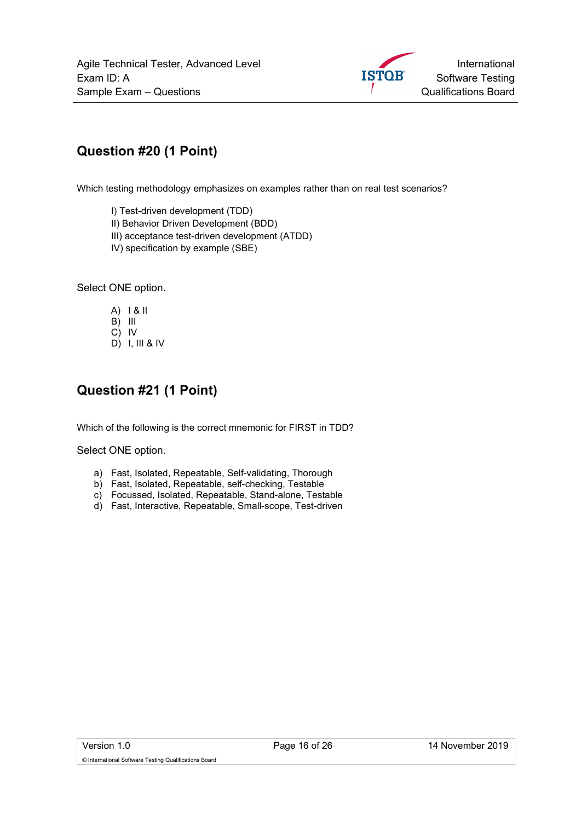

# Question #20 (1 Point)

Which testing methodology emphasizes on examples rather than on real test scenarios?

I) Test-driven development (TDD)

II) Behavior Driven Development (BDD)

- III) acceptance test-driven development (ATDD)
- IV) specification by example (SBE)

Select ONE option.

- A) I & II B) III C) IV
- D) I, III & IV

#### Question #21 (1 Point)

Which of the following is the correct mnemonic for FIRST in TDD?

- a) Fast, Isolated, Repeatable, Self-validating, Thorough
- b) Fast, Isolated, Repeatable, self-checking, Testable
- c) Focussed, Isolated, Repeatable, Stand-alone, Testable
- d) Fast, Interactive, Repeatable, Small-scope, Test-driven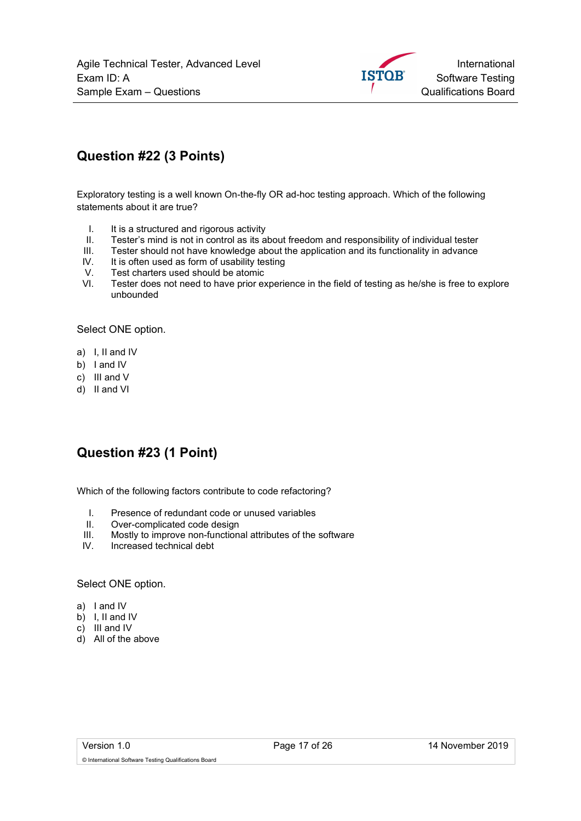

## Question #22 (3 Points)

Exploratory testing is a well known On-the-fly OR ad-hoc testing approach. Which of the following statements about it are true?

- I. It is a structured and rigorous activity
- II. Tester's mind is not in control as its about freedom and responsibility of individual tester
- III. Tester should not have knowledge about the application and its functionality in advance
- IV. It is often used as form of usability testing
- V. Test charters used should be atomic<br>VI. Tester does not need to have prior ex
- Tester does not need to have prior experience in the field of testing as he/she is free to explore unbounded

Select ONE option.

- a) I, II and IV
- b) I and IV
- c) III and V
- d) II and VI

#### Question #23 (1 Point)

Which of the following factors contribute to code refactoring?

- I. Presence of redundant code or unused variables
- II. Over-complicated code design
- III. Mostly to improve non-functional attributes of the software
- IV. Increased technical debt

#### Select ONE option.

- a) I and IV
- b) I, II and IV
- c) III and IV
- d) All of the above

© International Software Testing Qualifications Board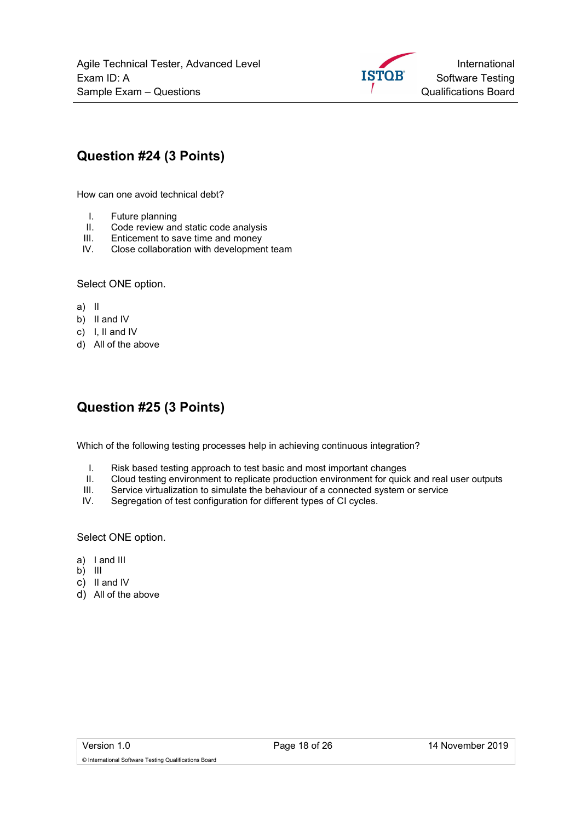

## Question #24 (3 Points)

How can one avoid technical debt?

- I. Future planning
- II. Code review and static code analysis
- III. Enticement to save time and money
- IV. Close collaboration with development team

#### Select ONE option.

- a) II
- b) II and IV
- c) I, II and IV
- d) All of the above

#### Question #25 (3 Points)

Which of the following testing processes help in achieving continuous integration?

- I. Risk based testing approach to test basic and most important changes
- II. Cloud testing environment to replicate production environment for quick and real user outputs
- III. Service virtualization to simulate the behaviour of a connected system or service
- IV. Segregation of test configuration for different types of CI cycles.

- a) I and III
- $\overline{b}$ ) III
- c) II and IV
- d) All of the above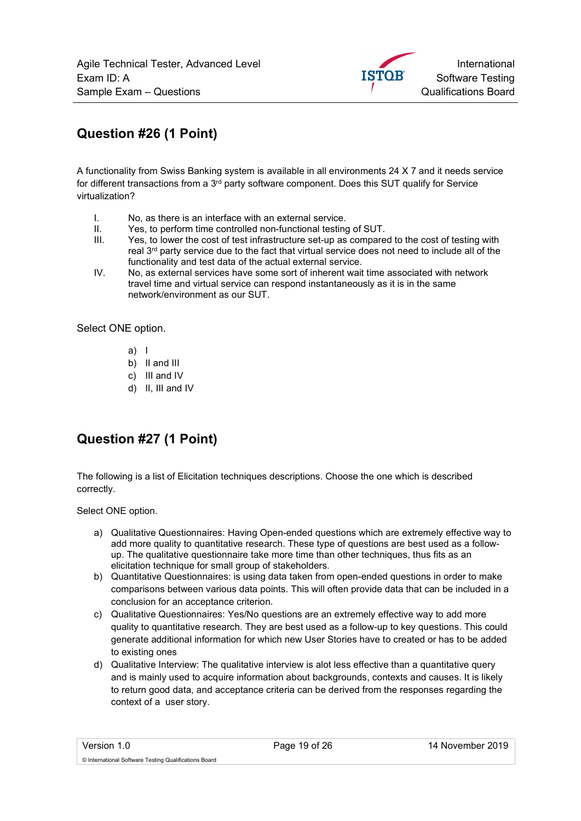International **ISTOB** Software Testing Qualifications Board

# Question #26 (1 Point)

A functionality from Swiss Banking system is available in all environments 24 X 7 and it needs service for different transactions from a 3<sup>rd</sup> party software component. Does this SUT qualify for Service virtualization?

- I. No, as there is an interface with an external service.
- II. Yes, to perform time controlled non-functional testing of SUT.
- III. Yes, to lower the cost of test infrastructure set-up as compared to the cost of testing with real  $3<sup>rd</sup>$  party service due to the fact that virtual service does not need to include all of the functionality and test data of the actual external service.
- IV. No, as external services have some sort of inherent wait time associated with network travel time and virtual service can respond instantaneously as it is in the same network/environment as our SUT.

Select ONE option.

- a) I
- b) II and III
- c) III and IV
- d) II, III and IV

# Question #27 (1 Point)

The following is a list of Elicitation techniques descriptions. Choose the one which is described correctly.

- a) Qualitative Questionnaires: Having Open-ended questions which are extremely effective way to add more quality to quantitative research. These type of questions are best used as a followup. The qualitative questionnaire take more time than other techniques, thus fits as an elicitation technique for small group of stakeholders.
- b) Quantitative Questionnaires: is using data taken from open-ended questions in order to make comparisons between various data points. This will often provide data that can be included in a conclusion for an acceptance criterion.
- c) Qualitative Questionnaires: Yes/No questions are an extremely effective way to add more quality to quantitative research. They are best used as a follow-up to key questions. This could generate additional information for which new User Stories have to created or has to be added to existing ones
- d) Qualitative Interview: The qualitative interview is alot less effective than a quantitative query and is mainly used to acquire information about backgrounds, contexts and causes. It is likely to return good data, and acceptance criteria can be derived from the responses regarding the context of a user story.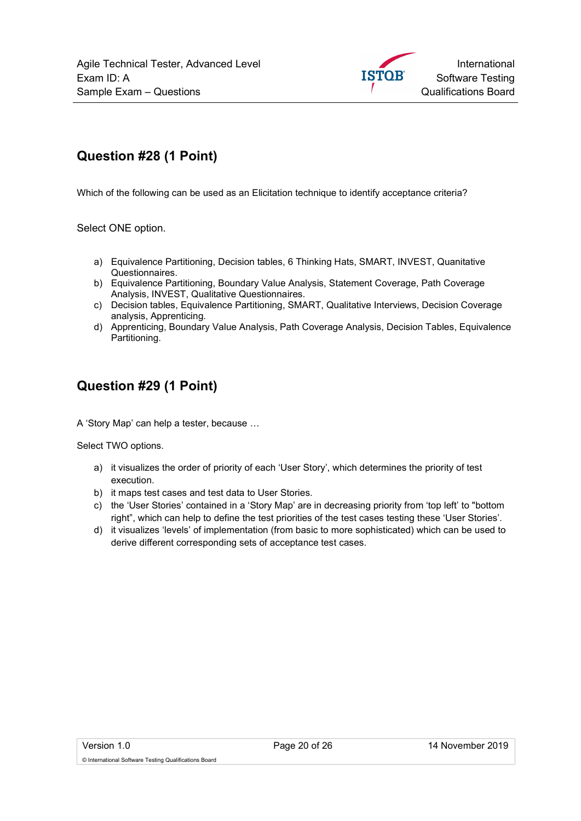

# Question #28 (1 Point)

Which of the following can be used as an Elicitation technique to identify acceptance criteria?

Select ONE option.

- a) Equivalence Partitioning, Decision tables, 6 Thinking Hats, SMART, INVEST, Quanitative Questionnaires.
- b) Equivalence Partitioning, Boundary Value Analysis, Statement Coverage, Path Coverage Analysis, INVEST, Qualitative Questionnaires.
- c) Decision tables, Equivalence Partitioning, SMART, Qualitative Interviews, Decision Coverage analysis, Apprenticing.
- d) Apprenticing, Boundary Value Analysis, Path Coverage Analysis, Decision Tables, Equivalence Partitioning.

#### Question #29 (1 Point)

A 'Story Map' can help a tester, because …

Select TWO options.

- a) it visualizes the order of priority of each 'User Story', which determines the priority of test execution.
- b) it maps test cases and test data to User Stories.
- c) the 'User Stories' contained in a 'Story Map' are in decreasing priority from 'top left' to "bottom right", which can help to define the test priorities of the test cases testing these 'User Stories'.
- d) it visualizes 'levels' of implementation (from basic to more sophisticated) which can be used to derive different corresponding sets of acceptance test cases.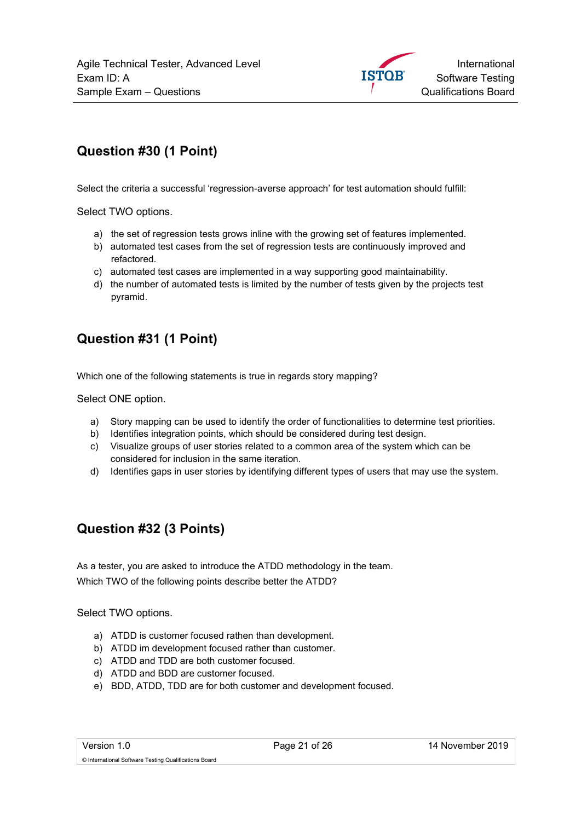

# Question #30 (1 Point)

Select the criteria a successful 'regression-averse approach' for test automation should fulfill:

Select TWO options.

- a) the set of regression tests grows inline with the growing set of features implemented.
- b) automated test cases from the set of regression tests are continuously improved and refactored.
- c) automated test cases are implemented in a way supporting good maintainability.
- d) the number of automated tests is limited by the number of tests given by the projects test pyramid.

#### Question #31 (1 Point)

Which one of the following statements is true in regards story mapping?

Select ONE option.

- a) Story mapping can be used to identify the order of functionalities to determine test priorities.
- b) Identifies integration points, which should be considered during test design.
- c) Visualize groups of user stories related to a common area of the system which can be considered for inclusion in the same iteration.
- d) Identifies gaps in user stories by identifying different types of users that may use the system.

#### Question #32 (3 Points)

As a tester, you are asked to introduce the ATDD methodology in the team. Which TWO of the following points describe better the ATDD?

Select TWO options.

- a) ATDD is customer focused rathen than development.
- b) ATDD im development focused rather than customer.
- c) ATDD and TDD are both customer focused.
- d) ATDD and BDD are customer focused.
- e) BDD, ATDD, TDD are for both customer and development focused.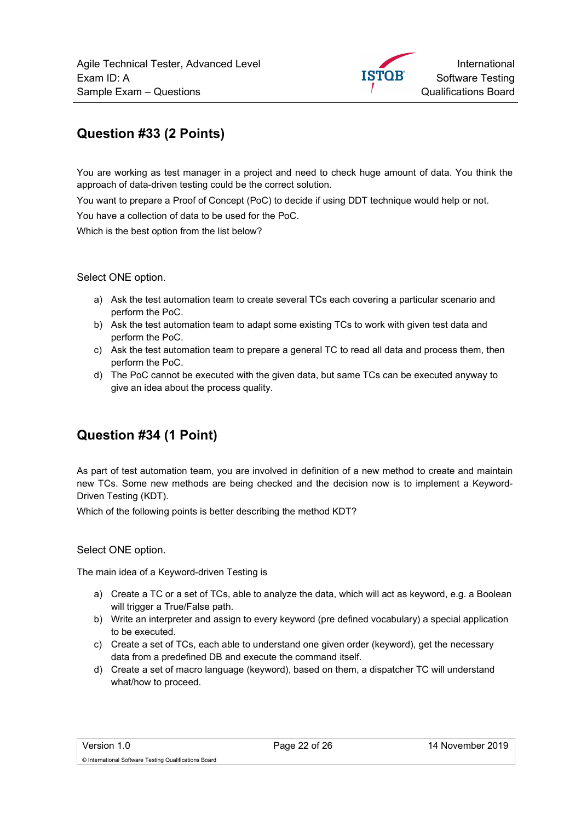#### Question #33 (2 Points)

You are working as test manager in a project and need to check huge amount of data. You think the approach of data-driven testing could be the correct solution.

You want to prepare a Proof of Concept (PoC) to decide if using DDT technique would help or not.

You have a collection of data to be used for the PoC.

Which is the best option from the list below?

Select ONE option.

- a) Ask the test automation team to create several TCs each covering a particular scenario and perform the PoC.
- b) Ask the test automation team to adapt some existing TCs to work with given test data and perform the PoC.
- c) Ask the test automation team to prepare a general TC to read all data and process them, then perform the PoC.
- d) The PoC cannot be executed with the given data, but same TCs can be executed anyway to give an idea about the process quality.

#### Question #34 (1 Point)

As part of test automation team, you are involved in definition of a new method to create and maintain new TCs. Some new methods are being checked and the decision now is to implement a Keyword-Driven Testing (KDT).

Which of the following points is better describing the method KDT?

Select ONE option.

The main idea of a Keyword-driven Testing is

- a) Create a TC or a set of TCs, able to analyze the data, which will act as keyword, e.g. a Boolean will trigger a True/False path.
- b) Write an interpreter and assign to every keyword (pre defined vocabulary) a special application to be executed.
- c) Create a set of TCs, each able to understand one given order (keyword), get the necessary data from a predefined DB and execute the command itself.
- d) Create a set of macro language (keyword), based on them, a dispatcher TC will understand what/how to proceed.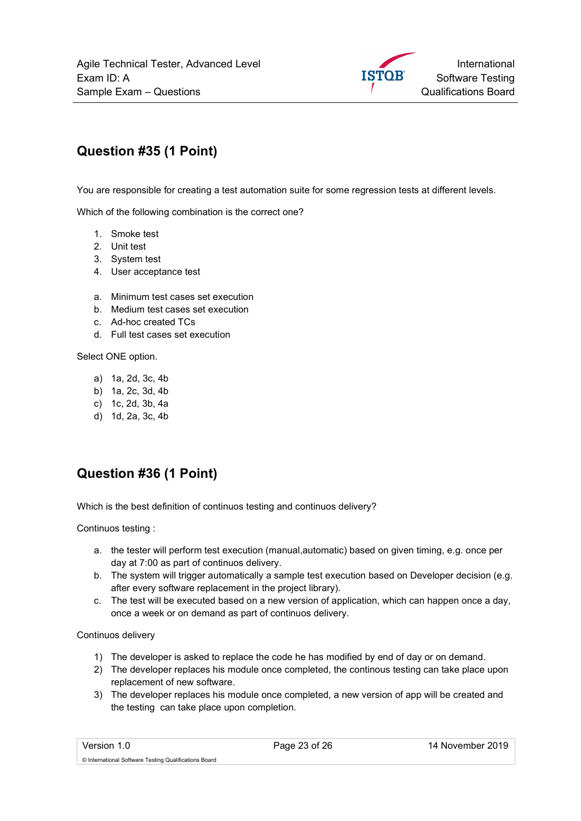

# Question #35 (1 Point)

You are responsible for creating a test automation suite for some regression tests at different levels.

Which of the following combination is the correct one?

- 1. Smoke test
- 2. Unit test
- 3. System test
- 4. User acceptance test
- a. Minimum test cases set execution
- b. Medium test cases set execution
- c. Ad-hoc created TCs
- d. Full test cases set execution

Select ONE option.

- a) 1a, 2d, 3c, 4b
- b) 1a, 2c, 3d, 4b
- c) 1c, 2d, 3b, 4a
- d) 1d, 2a, 3c, 4b

# Question #36 (1 Point)

Which is the best definition of continuos testing and continuos delivery?

Continuos testing :

- a. the tester will perform test execution (manual,automatic) based on given timing, e.g. once per day at 7:00 as part of continuos delivery.
- b. The system will trigger automatically a sample test execution based on Developer decision (e.g. after every software replacement in the project library).
- c. The test will be executed based on a new version of application, which can happen once a day, once a week or on demand as part of continuos delivery.

Continuos delivery

- 1) The developer is asked to replace the code he has modified by end of day or on demand.
- 2) The developer replaces his module once completed, the continous testing can take place upon replacement of new software.
- 3) The developer replaces his module once completed, a new version of app will be created and the testing can take place upon completion.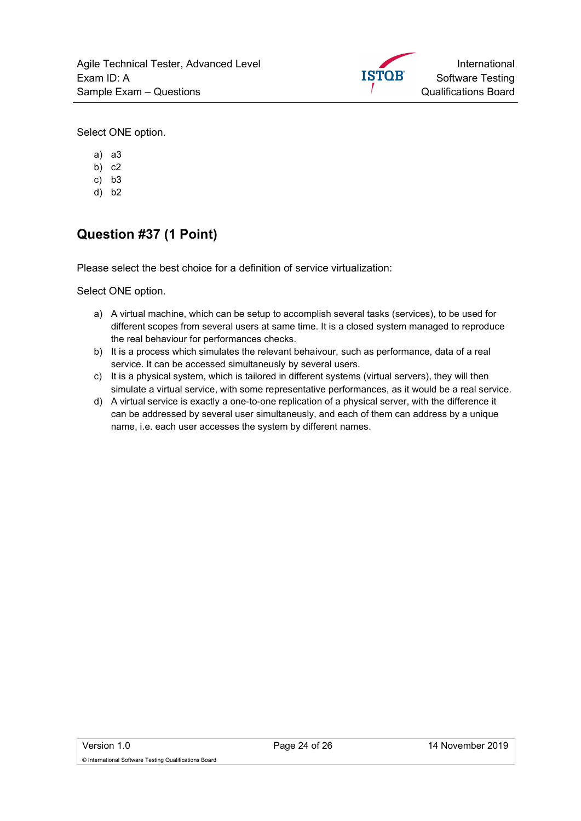

Select ONE option.

- a) a3
- b) c2
- c) b3
- d) b2

# Question #37 (1 Point)

Please select the best choice for a definition of service virtualization:

- a) A virtual machine, which can be setup to accomplish several tasks (services), to be used for different scopes from several users at same time. It is a closed system managed to reproduce the real behaviour for performances checks.
- b) It is a process which simulates the relevant behaivour, such as performance, data of a real service. It can be accessed simultaneusly by several users.
- c) It is a physical system, which is tailored in different systems (virtual servers), they will then simulate a virtual service, with some representative performances, as it would be a real service.
- d) A virtual service is exactly a one-to-one replication of a physical server, with the difference it can be addressed by several user simultaneusly, and each of them can address by a unique name, i.e. each user accesses the system by different names.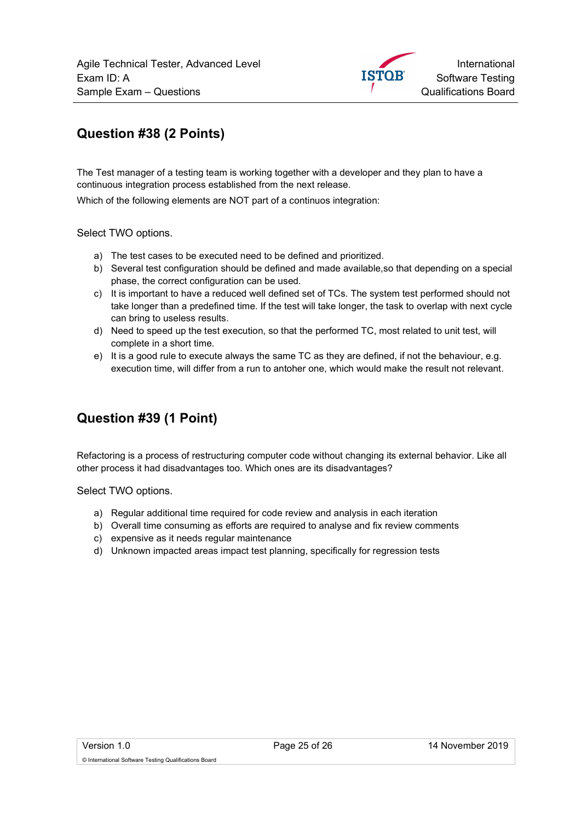International **ISTOB** Software Testing Qualifications Board

#### Question #38 (2 Points)

The Test manager of a testing team is working together with a developer and they plan to have a continuous integration process established from the next release.

Which of the following elements are NOT part of a continuos integration:

Select TWO options.

- a) The test cases to be executed need to be defined and prioritized.
- b) Several test configuration should be defined and made available,so that depending on a special phase, the correct configuration can be used.
- c) It is important to have a reduced well defined set of TCs. The system test performed should not take longer than a predefined time. If the test will take longer, the task to overlap with next cycle can bring to useless results.
- d) Need to speed up the test execution, so that the performed TC, most related to unit test, will complete in a short time.
- e) It is a good rule to execute always the same TC as they are defined, if not the behaviour, e.g. execution time, will differ from a run to antoher one, which would make the result not relevant.

#### Question #39 (1 Point)

Refactoring is a process of restructuring computer code without changing its external behavior. Like all other process it had disadvantages too. Which ones are its disadvantages?

Select TWO options.

- a) Regular additional time required for code review and analysis in each iteration
- b) Overall time consuming as efforts are required to analyse and fix review comments
- c) expensive as it needs regular maintenance
- d) Unknown impacted areas impact test planning, specifically for regression tests